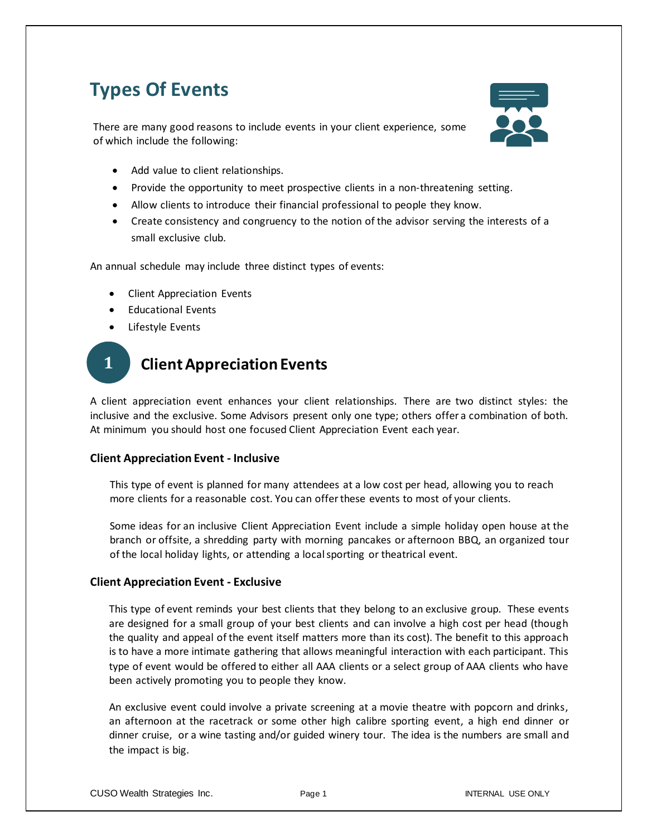## **Types Of Events**

There are many good reasons to include events in your client experience, some of which include the following:



- Add value to client relationships.
- Provide the opportunity to meet prospective clients in a non-threatening setting.
- Allow clients to introduce their financial professional to people they know.
- Create consistency and congruency to the notion of the advisor serving the interests of a small exclusive club.

An annual schedule may include three distinct types of events:

- Client Appreciation Events
- Educational Events
- Lifestyle Events

## **Client Appreciation Events 1**

A client appreciation event enhances your client relationships. There are two distinct styles: the inclusive and the exclusive. Some Advisors present only one type; others offer a combination of both. At minimum you should host one focused Client Appreciation Event each year.

## **Client Appreciation Event - Inclusive**

This type of event is planned for many attendees at a low cost per head, allowing you to reach more clients for a reasonable cost. You can offer these events to most of your clients.

Some ideas for an inclusive Client Appreciation Event include a simple holiday open house at the branch or offsite, a shredding party with morning pancakes or afternoon BBQ, an organized tour of the local holiday lights, or attending a local sporting or theatrical event.

## **Client Appreciation Event - Exclusive**

This type of event reminds your best clients that they belong to an exclusive group. These events are designed for a small group of your best clients and can involve a high cost per head (though the quality and appeal of the event itself matters more than its cost). The benefit to this approach is to have a more intimate gathering that allows meaningful interaction with each participant. This type of event would be offered to either all AAA clients or a select group of AAA clients who have been actively promoting you to people they know.

An exclusive event could involve a private screening at a movie theatre with popcorn and drinks, an afternoon at the racetrack or some other high calibre sporting event, a high end dinner or dinner cruise, or a wine tasting and/or guided winery tour. The idea is the numbers are small and the impact is big.